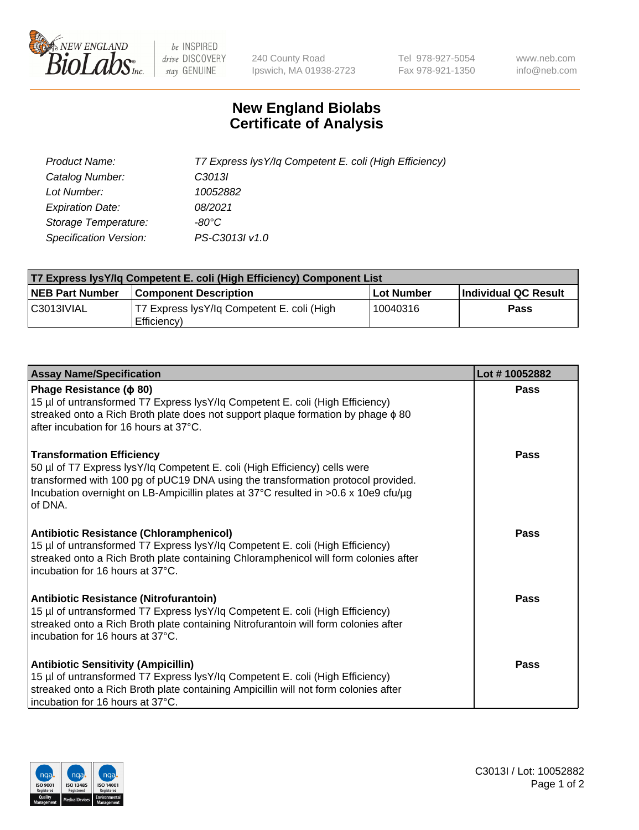

 $be$  INSPIRED drive DISCOVERY stay GENUINE

240 County Road Ipswich, MA 01938-2723 Tel 978-927-5054 Fax 978-921-1350 www.neb.com info@neb.com

## **New England Biolabs Certificate of Analysis**

| Product Name:           | T7 Express lysY/lq Competent E. coli (High Efficiency) |
|-------------------------|--------------------------------------------------------|
| Catalog Number:         | C <sub>3013</sub>                                      |
| Lot Number:             | 10052882                                               |
| <b>Expiration Date:</b> | 08/2021                                                |
| Storage Temperature:    | -80°C                                                  |
| Specification Version:  | PS-C3013I v1.0                                         |

| T7 Express lysY/lq Competent E. coli (High Efficiency) Component List |                                                           |            |                      |  |
|-----------------------------------------------------------------------|-----------------------------------------------------------|------------|----------------------|--|
| <b>NEB Part Number</b>                                                | <b>Component Description</b>                              | Lot Number | Individual QC Result |  |
| C3013IVIAL                                                            | T7 Express lysY/lg Competent E. coli (High<br>Efficiency) | 10040316   | Pass                 |  |

| <b>Assay Name/Specification</b>                                                                                                                                                                                                                                                                      | Lot #10052882 |
|------------------------------------------------------------------------------------------------------------------------------------------------------------------------------------------------------------------------------------------------------------------------------------------------------|---------------|
| Phage Resistance ( $\phi$ 80)<br>15 µl of untransformed T7 Express lysY/lq Competent E. coli (High Efficiency)<br>streaked onto a Rich Broth plate does not support plaque formation by phage $\phi$ 80<br>after incubation for 16 hours at 37°C.                                                    | Pass          |
| <b>Transformation Efficiency</b><br>50 µl of T7 Express lysY/lq Competent E. coli (High Efficiency) cells were<br>transformed with 100 pg of pUC19 DNA using the transformation protocol provided.<br>Incubation overnight on LB-Ampicillin plates at 37°C resulted in >0.6 x 10e9 cfu/µg<br>of DNA. | Pass          |
| <b>Antibiotic Resistance (Chloramphenicol)</b><br>15 µl of untransformed T7 Express lysY/lq Competent E. coli (High Efficiency)<br>streaked onto a Rich Broth plate containing Chloramphenicol will form colonies after<br>incubation for 16 hours at 37°C.                                          | Pass          |
| Antibiotic Resistance (Nitrofurantoin)<br>15 µl of untransformed T7 Express lysY/lq Competent E. coli (High Efficiency)<br>streaked onto a Rich Broth plate containing Nitrofurantoin will form colonies after<br>incubation for 16 hours at 37°C.                                                   | Pass          |
| <b>Antibiotic Sensitivity (Ampicillin)</b><br>15 µl of untransformed T7 Express lysY/lq Competent E. coli (High Efficiency)<br>streaked onto a Rich Broth plate containing Ampicillin will not form colonies after<br>incubation for 16 hours at 37°C.                                               | Pass          |